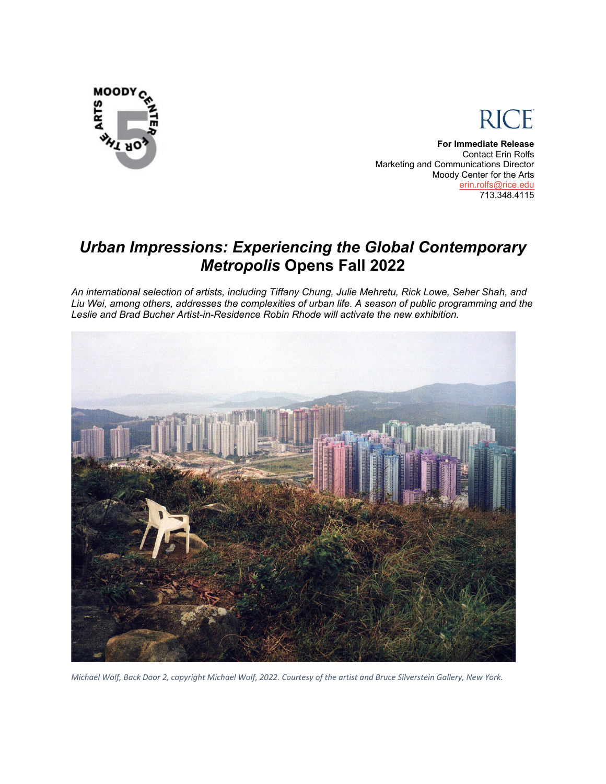



**For Immediate Release** Contact Erin Rolfs Marketing and Communications Director Moody Center for the Arts [erin.rolfs@rice.edu](mailto:erin.rolfs@rice.edu) 713.348.4115

# *Urban Impressions: Experiencing the Global Contemporary Metropolis* **Opens Fall 2022**

*An international selection of artists, including Tiffany Chung, Julie Mehretu, Rick Lowe, Seher Shah, and Liu Wei, among others, addresses the complexities of urban life. A season of public programming and the Leslie and Brad Bucher Artist-in-Residence Robin Rhode will activate the new exhibition.*



*Michael Wolf, Back Door 2, copyright Michael Wolf, 2022. Courtesy of the artist and Bruce Silverstein Gallery, New York.*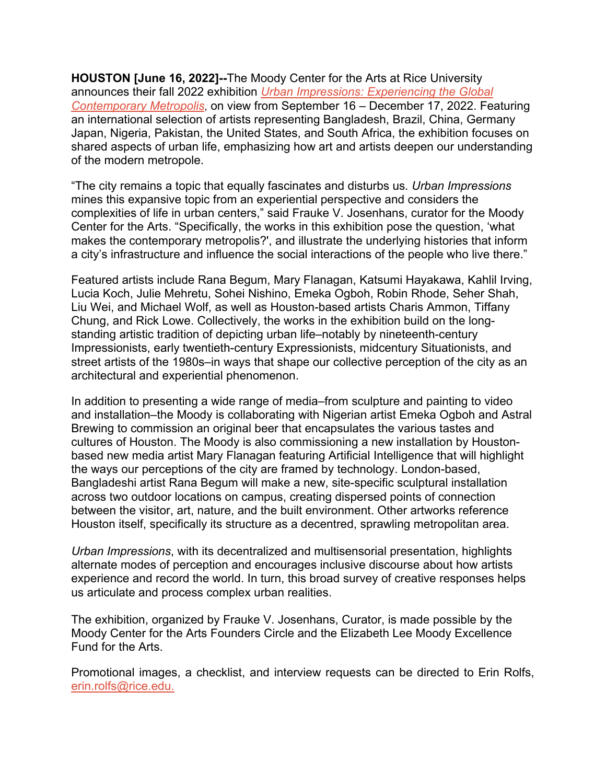**HOUSTON [June 16, 2022]--**The Moody Center for the Arts at Rice University announces their fall 2022 exhibition *[Urban Impressions: Experiencing the Global](https://moody.rice.edu/exhibitions/urban-impressions-experiencing-global-contemporary-metropolis)  [Contemporary Metropolis](https://moody.rice.edu/exhibitions/urban-impressions-experiencing-global-contemporary-metropolis)*, on view from September 16 – December 17, 2022. Featuring an international selection of artists representing Bangladesh, Brazil, China, Germany Japan, Nigeria, Pakistan, the United States, and South Africa, the exhibition focuses on shared aspects of urban life, emphasizing how art and artists deepen our understanding of the modern metropole.

"The city remains a topic that equally fascinates and disturbs us*. Urban Impressions* mines this expansive topic from an experiential perspective and considers the complexities of life in urban centers," said Frauke V. Josenhans, curator for the Moody Center for the Arts. "Specifically, the works in this exhibition pose the question, 'what makes the contemporary metropolis?', and illustrate the underlying histories that inform a city's infrastructure and influence the social interactions of the people who live there."

Featured artists include Rana Begum, Mary Flanagan, Katsumi Hayakawa, Kahlil Irving, Lucia Koch, Julie Mehretu, Sohei Nishino, Emeka Ogboh, Robin Rhode, Seher Shah, Liu Wei, and Michael Wolf, as well as Houston-based artists Charis Ammon, Tiffany Chung, and Rick Lowe. Collectively, the works in the exhibition build on the longstanding artistic tradition of depicting urban life–notably by nineteenth-century Impressionists, early twentieth-century Expressionists, midcentury Situationists, and street artists of the 1980s–in ways that shape our collective perception of the city as an architectural and experiential phenomenon.

In addition to presenting a wide range of media–from sculpture and painting to video and installation–the Moody is collaborating with Nigerian artist Emeka Ogboh and Astral Brewing to commission an original beer that encapsulates the various tastes and cultures of Houston. The Moody is also commissioning a new installation by Houstonbased new media artist Mary Flanagan featuring Artificial Intelligence that will highlight the ways our perceptions of the city are framed by technology. London-based, Bangladeshi artist Rana Begum will make a new, site-specific sculptural installation across two outdoor locations on campus, creating dispersed points of connection between the visitor, art, nature, and the built environment. Other artworks reference Houston itself, specifically its structure as a decentred, sprawling metropolitan area.

*Urban Impressions*, with its decentralized and multisensorial presentation, highlights alternate modes of perception and encourages inclusive discourse about how artists experience and record the world. In turn, this broad survey of creative responses helps us articulate and process complex urban realities.

The exhibition, organized by Frauke V. Josenhans, Curator, is made possible by the Moody Center for the Arts Founders Circle and the Elizabeth Lee Moody Excellence Fund for the Arts.

Promotional images, a checklist, and interview requests can be directed to Erin Rolfs, [erin.rolfs@rice.edu.](mailto:erin.rolfs@rice.edu)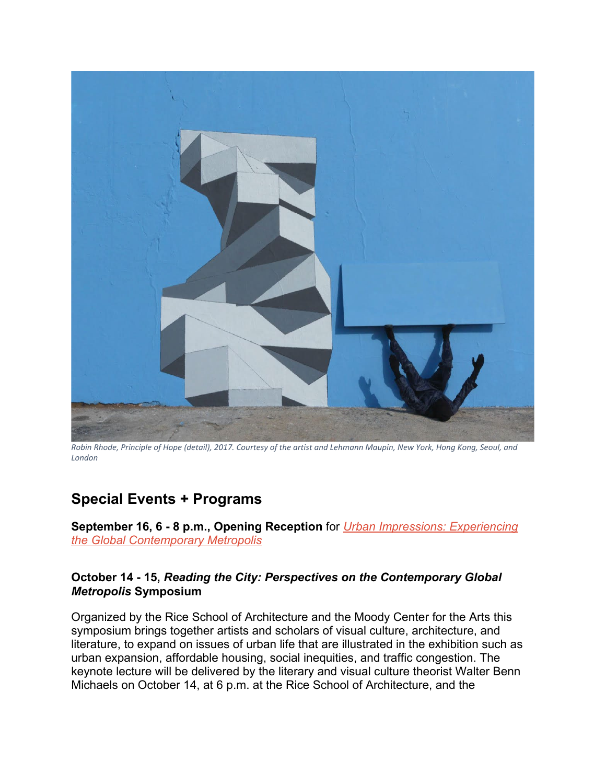

*Robin Rhode, Principle of Hope (detail), 2017. Courtesy of the artist and Lehmann Maupin, New York, Hong Kong, Seoul, and London*

## **Special Events + Programs**

**September 16, 6 - 8 p.m., Opening Reception** for *[Urban Impressions: Experiencing](https://moody.rice.edu/events/opening-reception-urban-impressions)  [the Global Contemporary Metropolis](https://moody.rice.edu/events/opening-reception-urban-impressions)*

#### **October 14 - 15,** *Reading the City: Perspectives on the Contemporary Global Metropolis* **Symposium**

Organized by the Rice School of Architecture and the Moody Center for the Arts this symposium brings together artists and scholars of visual culture, architecture, and literature, to expand on issues of urban life that are illustrated in the exhibition such as urban expansion, affordable housing, social inequities, and traffic congestion. The keynote lecture will be delivered by the literary and visual culture theorist Walter Benn Michaels on October 14, at 6 p.m. at the Rice School of Architecture, and the